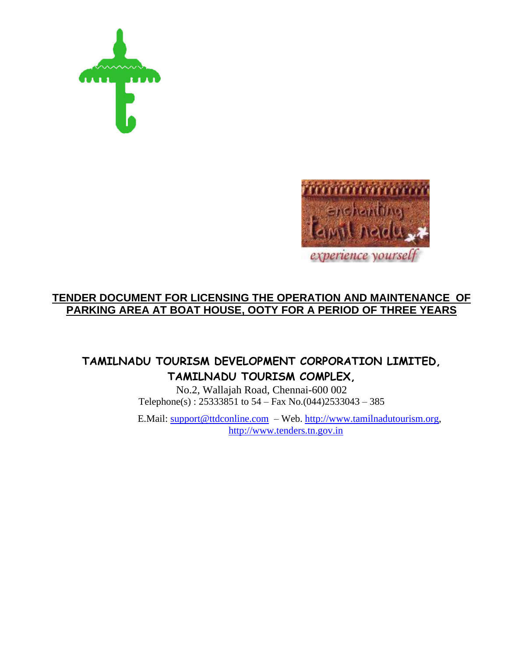



# **TENDER DOCUMENT FOR LICENSING THE OPERATION AND MAINTENANCE OF PARKING AREA AT BOAT HOUSE, OOTY FOR A PERIOD OF THREE YEARS**

# **TAMILNADU TOURISM DEVELOPMENT CORPORATION LIMITED, TAMILNADU TOURISM COMPLEX,**

No.2, Wallajah Road, Chennai-600 002 Telephone(s) : 25333851 to 54 – Fax No.(044)2533043 – 385

E.Mail: [support@ttdconline.com](mailto:support@ttdconline.com) – Web. [http://www.tamilnadutourism.org,](http://www.tamilnadutourism.org/) [http://www.tenders.tn.gov.in](http://www.tenders.tn.gov.in/)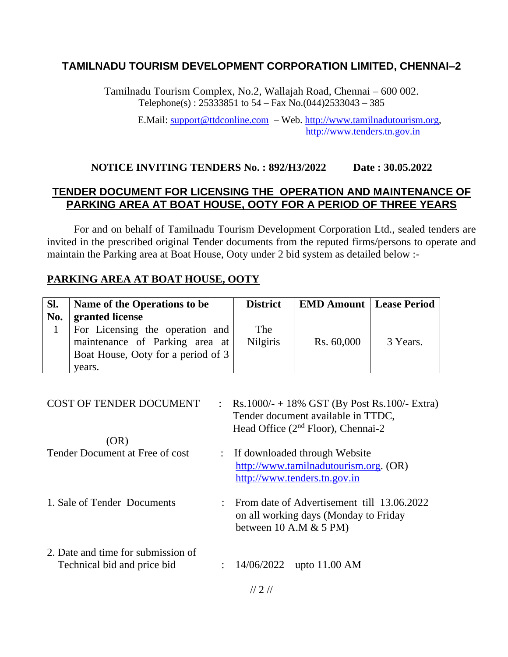# **TAMILNADU TOURISM DEVELOPMENT CORPORATION LIMITED, CHENNAI–2**

Tamilnadu Tourism Complex, No.2, Wallajah Road, Chennai – 600 002. Telephone(s) : 25333851 to 54 – Fax No.(044)2533043 – 385

> E.Mail: [support@ttdconline.com](mailto:support@ttdconline.com) – Web. [http://www.tamilnadutourism.org,](http://www.tamilnadutourism.org/) [http://www.tenders.tn.gov.in](http://www.tenders.tn.gov.in/)

#### **NOTICE INVITING TENDERS No. : 892/H3/2022 Date : 30.05.2022**

# **TENDER DOCUMENT FOR LICENSING THE OPERATION AND MAINTENANCE OF PARKING AREA AT BOAT HOUSE, OOTY FOR A PERIOD OF THREE YEARS**

For and on behalf of Tamilnadu Tourism Development Corporation Ltd., sealed tenders are invited in the prescribed original Tender documents from the reputed firms/persons to operate and maintain the Parking area at Boat House, Ooty under 2 bid system as detailed below :-

#### **PARKING AREA AT BOAT HOUSE, OOTY**

| SI.<br>No. | Name of the Operations to be<br>granted license                                                                   | <b>District</b>        | <b>EMD Amount   Lease Period</b> |          |
|------------|-------------------------------------------------------------------------------------------------------------------|------------------------|----------------------------------|----------|
|            | For Licensing the operation and<br>maintenance of Parking area at<br>Boat House, Ooty for a period of 3<br>vears. | The<br><b>Nilgiris</b> | Rs. 60,000                       | 3 Years. |

| <b>COST OF TENDER DOCUMENT</b>     | : Rs.1000/- + 18% GST (By Post Rs.100/- Extra)<br>Tender document available in TTDC,<br>Head Office $(2nd Floor)$ , Chennai-2 |
|------------------------------------|-------------------------------------------------------------------------------------------------------------------------------|
| (OR)                               |                                                                                                                               |
| Tender Document at Free of cost    | : If downloaded through Website                                                                                               |
|                                    | http://www.tamilnadutourism.org. (OR)                                                                                         |
|                                    | http://www.tenders.tn.gov.in                                                                                                  |
|                                    |                                                                                                                               |
| 1. Sale of Tender Documents        | From date of Advertisement till 13.06.2022                                                                                    |
|                                    | on all working days (Monday to Friday<br>between $10$ A.M $\&$ 5 PM)                                                          |
|                                    |                                                                                                                               |
| 2. Date and time for submission of |                                                                                                                               |
| Technical bid and price bid        | : $14/06/2022$ upto 11.00 AM                                                                                                  |
|                                    |                                                                                                                               |
|                                    |                                                                                                                               |

// 2 //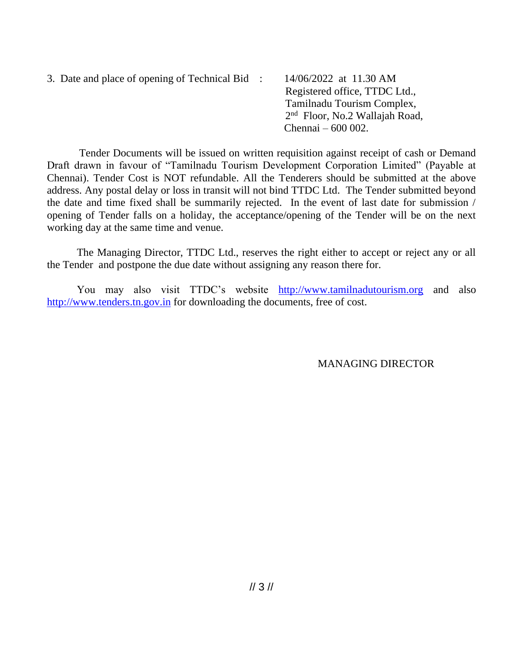3. Date and place of opening of Technical Bid : 14/06/2022 at 11.30 AM Registered office, TTDC Ltd., Tamilnadu Tourism Complex, 2 <sup>nd</sup> Floor, No.2 Wallajah Road, Chennai – 600 002.

 Tender Documents will be issued on written requisition against receipt of cash or Demand Draft drawn in favour of "Tamilnadu Tourism Development Corporation Limited" (Payable at Chennai). Tender Cost is NOT refundable. All the Tenderers should be submitted at the above address. Any postal delay or loss in transit will not bind TTDC Ltd. The Tender submitted beyond the date and time fixed shall be summarily rejected. In the event of last date for submission / opening of Tender falls on a holiday, the acceptance/opening of the Tender will be on the next working day at the same time and venue.

The Managing Director, TTDC Ltd., reserves the right either to accept or reject any or all the Tender and postpone the due date without assigning any reason there for.

You may also visit TTDC's website [http://www.tamilnadutourism.org](http://www.tamilnadutourism.org/) and also [http://www.tenders.tn.gov.in](http://www.tenders.tn.gov.in/) for downloading the documents, free of cost.

MANAGING DIRECTOR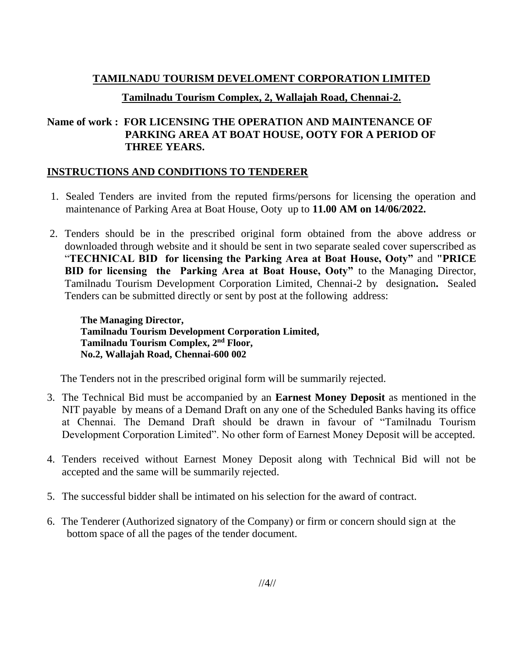# **TAMILNADU TOURISM DEVELOMENT CORPORATION LIMITED**

# **Tamilnadu Tourism Complex, 2, Wallajah Road, Chennai-2.**

# **Name of work : FOR LICENSING THE OPERATION AND MAINTENANCE OF PARKING AREA AT BOAT HOUSE, OOTY FOR A PERIOD OF THREE YEARS.**

# **INSTRUCTIONS AND CONDITIONS TO TENDERER**

- 1. Sealed Tenders are invited from the reputed firms/persons for licensing the operation and maintenance of Parking Area at Boat House, Ooty up to **11.00 AM on 14/06/2022.**
- 2. Tenders should be in the prescribed original form obtained from the above address or downloaded through website and it should be sent in two separate sealed cover superscribed as "**TECHNICAL BID for licensing the Parking Area at Boat House, Ooty"** and **"PRICE BID for licensing the Parking Area at Boat House, Ooty"** to the Managing Director, Tamilnadu Tourism Development Corporation Limited, Chennai-2 by designation**.** Sealed Tenders can be submitted directly or sent by post at the following address:

**The Managing Director, Tamilnadu Tourism Development Corporation Limited, Tamilnadu Tourism Complex, 2nd Floor, No.2, Wallajah Road, Chennai-600 002**

The Tenders not in the prescribed original form will be summarily rejected.

- 3. The Technical Bid must be accompanied by an **Earnest Money Deposit** as mentioned in the NIT payable by means of a Demand Draft on any one of the Scheduled Banks having its office at Chennai. The Demand Draft should be drawn in favour of "Tamilnadu Tourism Development Corporation Limited". No other form of Earnest Money Deposit will be accepted.
- 4. Tenders received without Earnest Money Deposit along with Technical Bid will not be accepted and the same will be summarily rejected.
- 5. The successful bidder shall be intimated on his selection for the award of contract.
- 6. The Tenderer (Authorized signatory of the Company) or firm or concern should sign at the bottom space of all the pages of the tender document.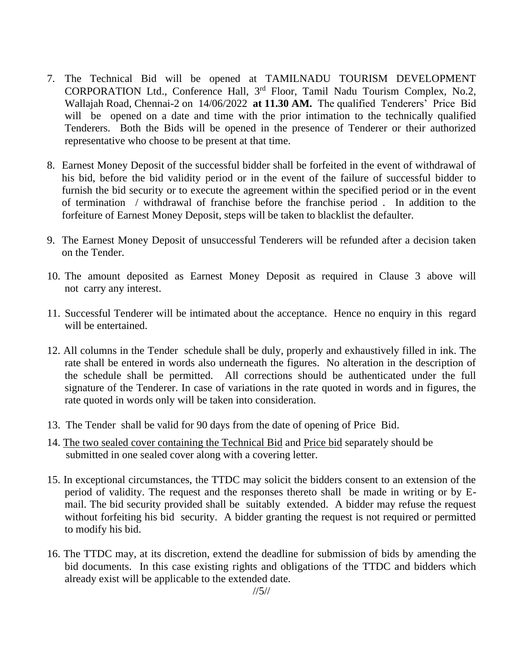- 7. The Technical Bid will be opened at TAMILNADU TOURISM DEVELOPMENT CORPORATION Ltd., Conference Hall, 3<sup>rd</sup> Floor, Tamil Nadu Tourism Complex, No.2, Wallajah Road, Chennai-2 on 14/06/2022 **at 11.30 AM.** The qualified Tenderers' Price Bid will be opened on a date and time with the prior intimation to the technically qualified Tenderers. Both the Bids will be opened in the presence of Tenderer or their authorized representative who choose to be present at that time.
- 8. Earnest Money Deposit of the successful bidder shall be forfeited in the event of withdrawal of his bid, before the bid validity period or in the event of the failure of successful bidder to furnish the bid security or to execute the agreement within the specified period or in the event of termination / withdrawal of franchise before the franchise period . In addition to the forfeiture of Earnest Money Deposit, steps will be taken to blacklist the defaulter.
- 9. The Earnest Money Deposit of unsuccessful Tenderers will be refunded after a decision taken on the Tender.
- 10. The amount deposited as Earnest Money Deposit as required in Clause 3 above will not carry any interest.
- 11. Successful Tenderer will be intimated about the acceptance. Hence no enquiry in this regard will be entertained.
- 12. All columns in the Tender schedule shall be duly, properly and exhaustively filled in ink. The rate shall be entered in words also underneath the figures. No alteration in the description of the schedule shall be permitted. All corrections should be authenticated under the full signature of the Tenderer. In case of variations in the rate quoted in words and in figures, the rate quoted in words only will be taken into consideration.
- 13. The Tender shall be valid for 90 days from the date of opening of Price Bid.
- 14. The two sealed cover containing the Technical Bid and Price bid separately should be submitted in one sealed cover along with a covering letter.
- 15. In exceptional circumstances, the TTDC may solicit the bidders consent to an extension of the period of validity. The request and the responses thereto shall be made in writing or by Email. The bid security provided shall be suitably extended. A bidder may refuse the request without forfeiting his bid security. A bidder granting the request is not required or permitted to modify his bid.
- 16. The TTDC may, at its discretion, extend the deadline for submission of bids by amending the bid documents. In this case existing rights and obligations of the TTDC and bidders which already exist will be applicable to the extended date.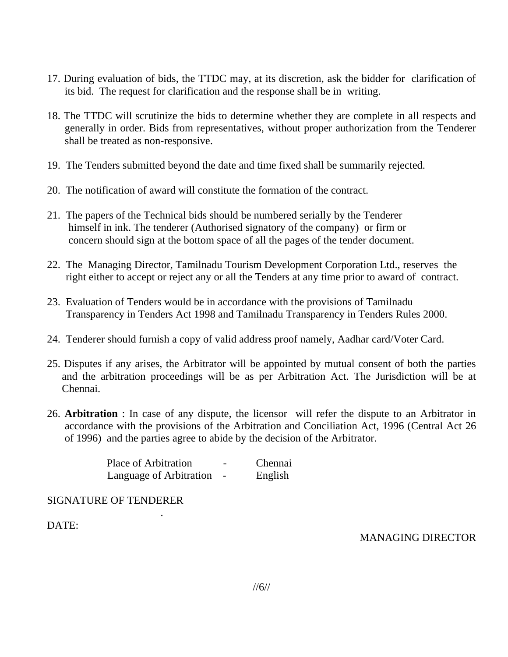- 17. During evaluation of bids, the TTDC may, at its discretion, ask the bidder for clarification of its bid. The request for clarification and the response shall be in writing.
- 18. The TTDC will scrutinize the bids to determine whether they are complete in all respects and generally in order. Bids from representatives, without proper authorization from the Tenderer shall be treated as non-responsive.
- 19. The Tenders submitted beyond the date and time fixed shall be summarily rejected.
- 20. The notification of award will constitute the formation of the contract.
- 21. The papers of the Technical bids should be numbered serially by the Tenderer himself in ink. The tenderer (Authorised signatory of the company) or firm or concern should sign at the bottom space of all the pages of the tender document.
- 22. The Managing Director, Tamilnadu Tourism Development Corporation Ltd., reserves the right either to accept or reject any or all the Tenders at any time prior to award of contract.
- 23. Evaluation of Tenders would be in accordance with the provisions of Tamilnadu Transparency in Tenders Act 1998 and Tamilnadu Transparency in Tenders Rules 2000.
- 24. Tenderer should furnish a copy of valid address proof namely, Aadhar card/Voter Card.
- 25. Disputes if any arises, the Arbitrator will be appointed by mutual consent of both the parties and the arbitration proceedings will be as per Arbitration Act. The Jurisdiction will be at Chennai.
- 26. **Arbitration** : In case of any dispute, the licensor will refer the dispute to an Arbitrator in accordance with the provisions of the Arbitration and Conciliation Act, 1996 (Central Act 26 of 1996) and the parties agree to abide by the decision of the Arbitrator.

Place of Arbitration **-** Chennai Language of Arbitration - English

## SIGNATURE OF TENDERER

.

DATE:

MANAGING DIRECTOR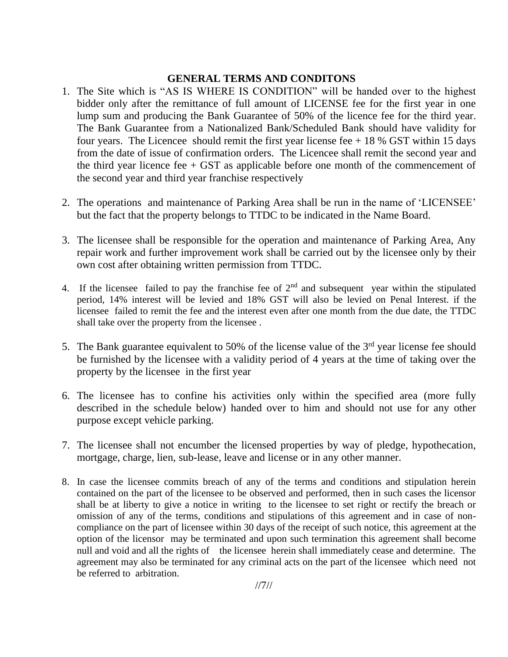## **GENERAL TERMS AND CONDITONS**

- 1. The Site which is "AS IS WHERE IS CONDITION" will be handed over to the highest bidder only after the remittance of full amount of LICENSE fee for the first year in one lump sum and producing the Bank Guarantee of 50% of the licence fee for the third year. The Bank Guarantee from a Nationalized Bank/Scheduled Bank should have validity for four years. The Licencee should remit the first year license fee  $+18\%$  GST within 15 days from the date of issue of confirmation orders. The Licencee shall remit the second year and the third year licence fee  $+$  GST as applicable before one month of the commencement of the second year and third year franchise respectively
- 2. The operations and maintenance of Parking Area shall be run in the name of 'LICENSEE' but the fact that the property belongs to TTDC to be indicated in the Name Board.
- 3. The licensee shall be responsible for the operation and maintenance of Parking Area, Any repair work and further improvement work shall be carried out by the licensee only by their own cost after obtaining written permission from TTDC.
- 4. If the licensee failed to pay the franchise fee of  $2<sup>nd</sup>$  and subsequent year within the stipulated period, 14% interest will be levied and 18% GST will also be levied on Penal Interest. if the licensee failed to remit the fee and the interest even after one month from the due date, the TTDC shall take over the property from the licensee .
- 5. The Bank guarantee equivalent to 50% of the license value of the  $3<sup>rd</sup>$  year license fee should be furnished by the licensee with a validity period of 4 years at the time of taking over the property by the licensee in the first year
- 6. The licensee has to confine his activities only within the specified area (more fully described in the schedule below) handed over to him and should not use for any other purpose except vehicle parking.
- 7. The licensee shall not encumber the licensed properties by way of pledge, hypothecation, mortgage, charge, lien, sub-lease, leave and license or in any other manner.
- 8. In case the licensee commits breach of any of the terms and conditions and stipulation herein contained on the part of the licensee to be observed and performed, then in such cases the licensor shall be at liberty to give a notice in writing to the licensee to set right or rectify the breach or omission of any of the terms, conditions and stipulations of this agreement and in case of noncompliance on the part of licensee within 30 days of the receipt of such notice, this agreement at the option of the licensor may be terminated and upon such termination this agreement shall become null and void and all the rights of the licensee herein shall immediately cease and determine. The agreement may also be terminated for any criminal acts on the part of the licensee which need not be referred to arbitration.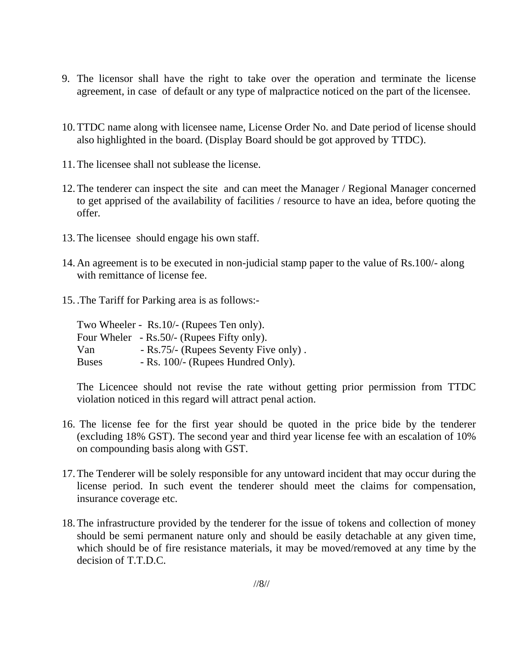- 9. The licensor shall have the right to take over the operation and terminate the license agreement, in case of default or any type of malpractice noticed on the part of the licensee.
- 10.TTDC name along with licensee name, License Order No. and Date period of license should also highlighted in the board. (Display Board should be got approved by TTDC).
- 11.The licensee shall not sublease the license.
- 12.The tenderer can inspect the site and can meet the Manager / Regional Manager concerned to get apprised of the availability of facilities / resource to have an idea, before quoting the offer.
- 13.The licensee should engage his own staff.
- 14.An agreement is to be executed in non-judicial stamp paper to the value of Rs.100/- along with remittance of license fee.
- 15. .The Tariff for Parking area is as follows:-

|              | Two Wheeler - Rs. 10/- (Rupees Ten only).  |
|--------------|--------------------------------------------|
|              | Four Wheler - Rs.50/- (Rupees Fifty only). |
| Van          | - Rs.75/- (Rupees Seventy Five only).      |
| <b>Buses</b> | - Rs. 100/- (Rupees Hundred Only).         |

The Licencee should not revise the rate without getting prior permission from TTDC violation noticed in this regard will attract penal action.

- 16. The license fee for the first year should be quoted in the price bide by the tenderer (excluding 18% GST). The second year and third year license fee with an escalation of 10% on compounding basis along with GST.
- 17.The Tenderer will be solely responsible for any untoward incident that may occur during the license period. In such event the tenderer should meet the claims for compensation, insurance coverage etc.
- 18.The infrastructure provided by the tenderer for the issue of tokens and collection of money should be semi permanent nature only and should be easily detachable at any given time, which should be of fire resistance materials, it may be moved/removed at any time by the decision of T.T.D.C.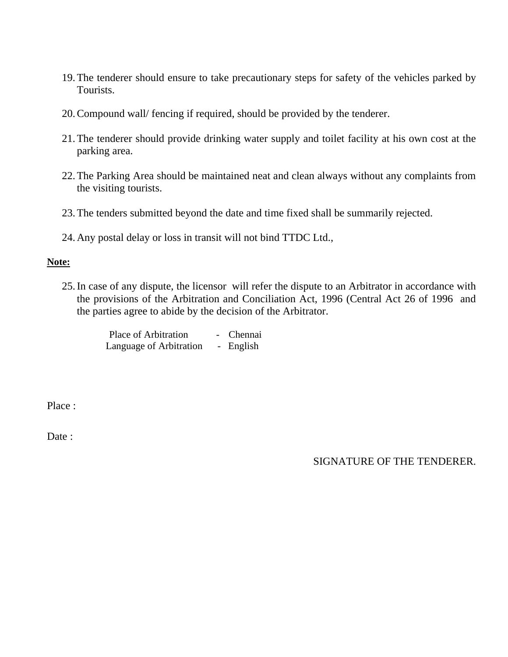- 19.The tenderer should ensure to take precautionary steps for safety of the vehicles parked by Tourists.
- 20.Compound wall/ fencing if required, should be provided by the tenderer.
- 21.The tenderer should provide drinking water supply and toilet facility at his own cost at the parking area.
- 22.The Parking Area should be maintained neat and clean always without any complaints from the visiting tourists.
- 23.The tenders submitted beyond the date and time fixed shall be summarily rejected.
- 24.Any postal delay or loss in transit will not bind TTDC Ltd.,

#### **Note:**

25.In case of any dispute, the licensor will refer the dispute to an Arbitrator in accordance with the provisions of the Arbitration and Conciliation Act, 1996 (Central Act 26 of 1996 and the parties agree to abide by the decision of the Arbitrator.

> Place of Arbitration - Chennai Language of Arbitration - English

Place :

Date :

SIGNATURE OF THE TENDERER.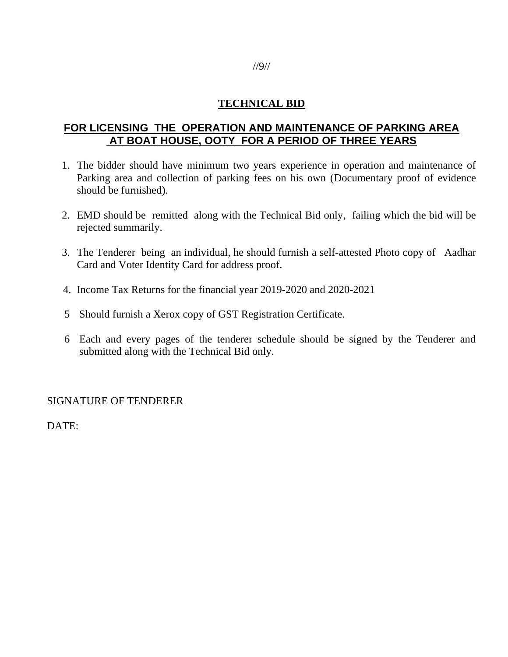# **TECHNICAL BID**

# **FOR LICENSING THE OPERATION AND MAINTENANCE OF PARKING AREA AT BOAT HOUSE, OOTY FOR A PERIOD OF THREE YEARS**

- 1. The bidder should have minimum two years experience in operation and maintenance of Parking area and collection of parking fees on his own (Documentary proof of evidence should be furnished).
- 2. EMD should be remitted along with the Technical Bid only, failing which the bid will be rejected summarily.
- 3. The Tenderer being an individual, he should furnish a self-attested Photo copy of Aadhar Card and Voter Identity Card for address proof.
- 4. Income Tax Returns for the financial year 2019-2020 and 2020-2021
- 5 Should furnish a Xerox copy of GST Registration Certificate.
- 6 Each and every pages of the tenderer schedule should be signed by the Tenderer and submitted along with the Technical Bid only.

#### SIGNATURE OF TENDERER

DATE: